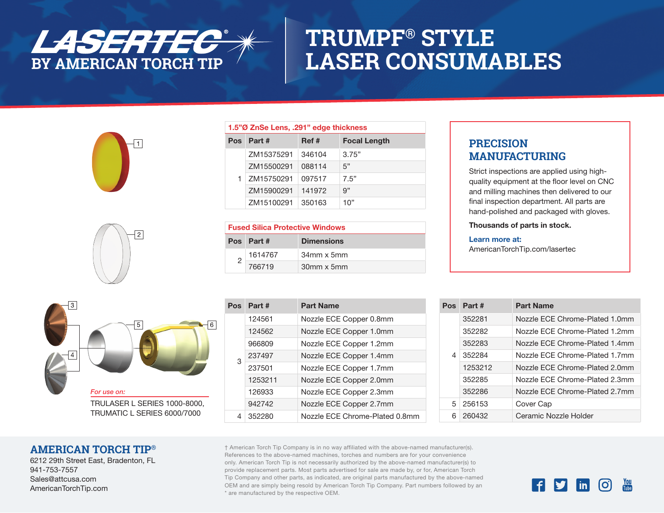

## **TRUMPF® STYLE LASER CONSUMABLES**





| 1.5"Ø ZnSe Lens, .291" edge thickness |            |        |                     |
|---------------------------------------|------------|--------|---------------------|
| Pos.                                  | Part #     | Ref #  | <b>Focal Length</b> |
| 1.                                    | ZM15375291 | 346104 | 3.75"               |
|                                       | ZM15500291 | 088114 | 5"                  |
|                                       | ZM15750291 | 097517 | 7.5"                |
|                                       | ZM15900291 | 141972 | 9"                  |
|                                       | ZM15100291 | 350163 | 10"                 |

| <b>Fused Silica Protective Windows</b> |           |                   |
|----------------------------------------|-----------|-------------------|
|                                        | Pos Part# | <b>Dimensions</b> |
|                                        | 1614767   | $34$ mm x 5mm     |
|                                        | 766719    | 30mm x 5mm        |



TRUMATIC L SERIES 6000/7000

| Pos | Part#   | <b>Part Name</b>               |
|-----|---------|--------------------------------|
| 3   | 124561  | Nozzle ECE Copper 0.8mm        |
|     | 124562  | Nozzle ECE Copper 1.0mm        |
|     | 966809  | Nozzle ECE Copper 1.2mm        |
|     | 237497  | Nozzle ECE Copper 1.4mm        |
|     | 237501  | Nozzle ECE Copper 1.7mm        |
|     | 1253211 | Nozzle ECE Copper 2.0mm        |
|     | 126933  | Nozzle ECE Copper 2.3mm        |
|     | 942742  | Nozzle ECE Copper 2.7mm        |
| 4   | 352280  | Nozzle ECE Chrome-Plated 0.8mm |

### **PRECISION MANUFACTURING**

Strict inspections are applied using highquality equipment at the floor level on CNC and milling machines then delivered to our final inspection department. All parts are hand-polished and packaged with gloves.

Thousands of parts in stock.

#### Learn more at:

AmericanTorchTip.com/lasertec

| Pos | Part #  | <b>Part Name</b>               |
|-----|---------|--------------------------------|
| 4   | 352281  | Nozzle FCF Chrome-Plated 1.0mm |
|     | 352282  | Nozzle FCF Chrome-Plated 1.2mm |
|     | 352283  | Nozzle FCF Chrome-Plated 1.4mm |
|     | 352284  | Nozzle FCF Chrome-Plated 1.7mm |
|     | 1253212 | Nozzle FCF Chrome-Plated 2.0mm |
|     | 352285  | Nozzle FCF Chrome-Plated 2.3mm |
|     | 352286  | Nozzle FCF Chrome-Plated 2.7mm |
| 5   | 256153  | Cover Cap                      |
| 6   | 260432  | Ceramic Nozzle Holder          |

#### **AMERICAN TORCH TIP®**

6212 29th Street East, Bradenton, FL 941-753-7557 Sales@attcusa.com AmericanTorchTip.com

† American Torch Tip Company is in no way affiliated with the above-named manufacturer(s). References to the above-named machines, torches and numbers are for your convenience only. American Torch Tip is not necessarily authorized by the above-named manufacturer(s) to provide replacement parts. Most parts advertised for sale are made by, or for, American Torch Tip Company and other parts, as indicated, are original parts manufactured by the above-named OEM and are simply being resold by American Torch Tip Company. Part numbers followed by an \* are manufactured by the respective OEM.